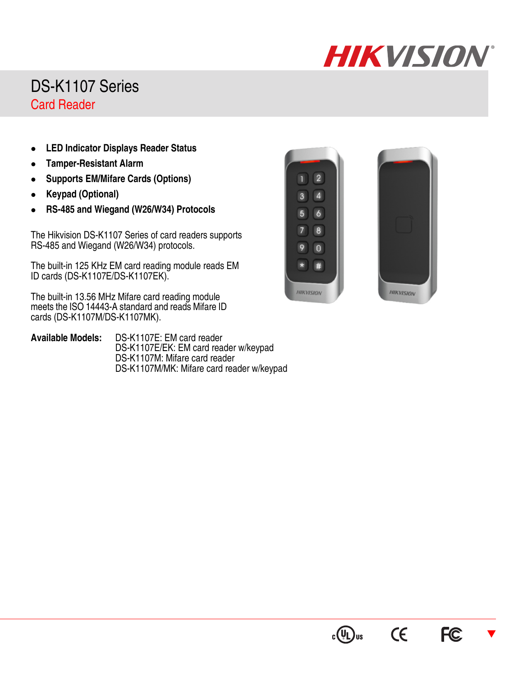## **HIKVISION**®

## DS-K1107 Series Card Reader

- **LED Indicator Displays Reader Status**
- **Tamper-Resistant Alarm**
- **Supports EM/Mifare Cards (Options)**
- **Keypad (Optional)**
- **RS-485 and Wiegand (W26/W34) Protocols**

The Hikvision DS-K1107 Series of card readers supports RS-485 and Wiegand (W26/W34) protocols.

The built-in 125 KHz EM card reading module reads EM ID cards (DS-K1107E/DS-K1107EK).

The built-in 13.56 MHz Mifare card reading module meets the ISO 14443-A standard and reads Mifare ID cards (DS-K1107M/DS-K1107MK).

**Available Models:** DS-K1107E: EM card reader DS-K1107E/EK: EM card reader w/keypad DS-K1107M: Mifare card reader DS-K1107M/MK: Mifare card reader w/keypad





CE

 $c(U)$ us

 $\overline{\blacktriangledown}$ 

**FC**